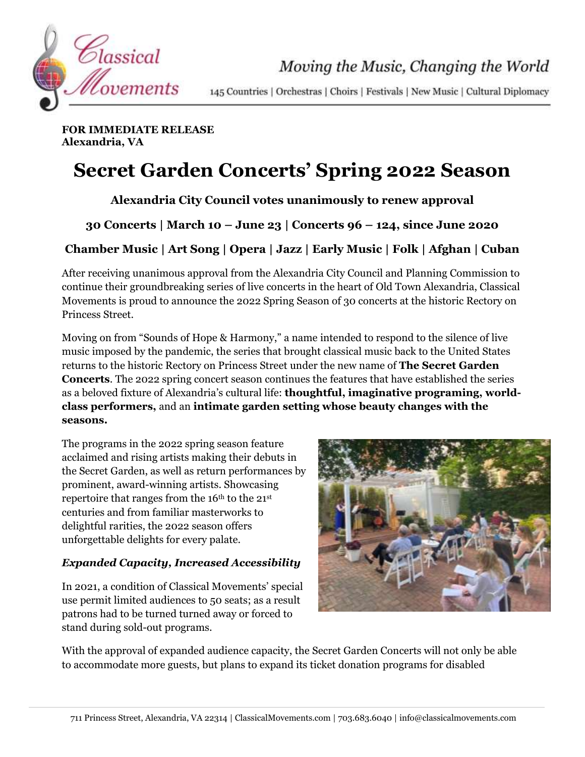

Moving the Music, Changing the World

145 Countries | Orchestras | Choirs | Festivals | New Music | Cultural Diplomacy

**FOR IMMEDIATE RELEASE Alexandria, VA**

# **Secret Garden Concerts' Spring 2022 Season**

**Alexandria City Council votes unanimously to renew approval**

**30 Concerts | March 10 – June 23 | Concerts 96 – 124, since June 2020**

**Chamber Music | Art Song | Opera | Jazz | Early Music | Folk | Afghan | Cuban**

After receiving unanimous approval from the Alexandria City Council and Planning Commission to continue their groundbreaking series of live concerts in the heart of Old Town Alexandria, Classical Movements is proud to announce the 2022 Spring Season of 30 concerts at the historic Rectory on Princess Street.

Moving on from "Sounds of Hope & Harmony," a name intended to respond to the silence of live music imposed by the pandemic, the series that brought classical music back to the United States returns to the historic Rectory on Princess Street under the new name of **The Secret Garden Concerts**. The 2022 spring concert season continues the features that have established the series as a beloved fixture of Alexandria's cultural life: **thoughtful, imaginative programing, worldclass performers,** and an **intimate garden setting whose beauty changes with the seasons.**

The programs in the 2022 spring season feature acclaimed and rising artists making their debuts in the Secret Garden, as well as return performances by prominent, award-winning artists. Showcasing repertoire that ranges from the  $16<sup>th</sup>$  to the  $21<sup>st</sup>$ centuries and from familiar masterworks to delightful rarities, the 2022 season offers unforgettable delights for every palate.

## *Expanded Capacity, Increased Accessibility*

In 2021, a condition of Classical Movements' special use permit limited audiences to 50 seats; as a result patrons had to be turned turned away or forced to stand during sold-out programs.



With the approval of expanded audience capacity, the Secret Garden Concerts will not only be able to accommodate more guests, but plans to expand its ticket donation programs for disabled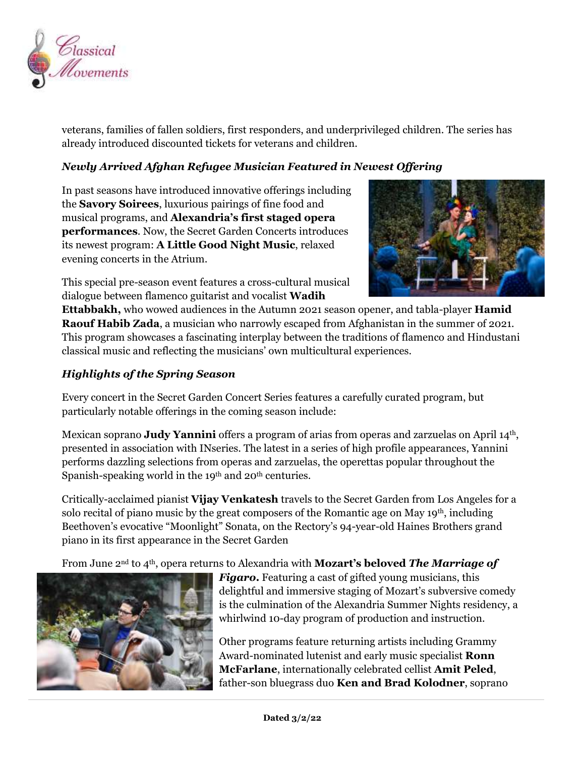

veterans, families of fallen soldiers, first responders, and underprivileged children. The series has already introduced discounted tickets for veterans and children.

#### *Newly Arrived Afghan Refugee Musician Featured in Newest Offering*

In past seasons have introduced innovative offerings including the **Savory Soirees**, luxurious pairings of fine food and musical programs, and **Alexandria's first staged opera performances**. Now, the Secret Garden Concerts introduces its newest program: **A Little Good Night Music**, relaxed evening concerts in the Atrium.



This special pre-season event features a cross-cultural musical dialogue between flamenco guitarist and vocalist **Wadih** 

**Ettabbakh,** who wowed audiences in the Autumn 2021 season opener, and tabla-player **Hamid Raouf Habib Zada**, a musician who narrowly escaped from Afghanistan in the summer of 2021. This program showcases a fascinating interplay between the traditions of flamenco and Hindustani classical music and reflecting the musicians' own multicultural experiences.

### *Highlights of the Spring Season*

Every concert in the Secret Garden Concert Series features a carefully curated program, but particularly notable offerings in the coming season include:

Mexican soprano **Judy Yannini** offers a program of arias from operas and zarzuelas on April 14th, presented in association with INseries. The latest in a series of high profile appearances, Yannini performs dazzling selections from operas and zarzuelas, the operettas popular throughout the Spanish-speaking world in the 19<sup>th</sup> and 20<sup>th</sup> centuries.

Critically-acclaimed pianist **Vijay Venkatesh** travels to the Secret Garden from Los Angeles for a solo recital of piano music by the great composers of the Romantic age on May  $19<sup>th</sup>$ , including Beethoven's evocative "Moonlight" Sonata, on the Rectory's 94-year-old Haines Brothers grand piano in its first appearance in the Secret Garden

From June 2nd to 4th, opera returns to Alexandria with **Mozart's beloved** *The Marriage of* 



*Figaro***.** Featuring a cast of gifted young musicians, this delightful and immersive staging of Mozart's subversive comedy is the culmination of the Alexandria Summer Nights residency, a whirlwind 10-day program of production and instruction.

Other programs feature returning artists including Grammy Award-nominated lutenist and early music specialist **Ronn McFarlane**, internationally celebrated cellist **Amit Peled**, father-son bluegrass duo **Ken and Brad Kolodner**, soprano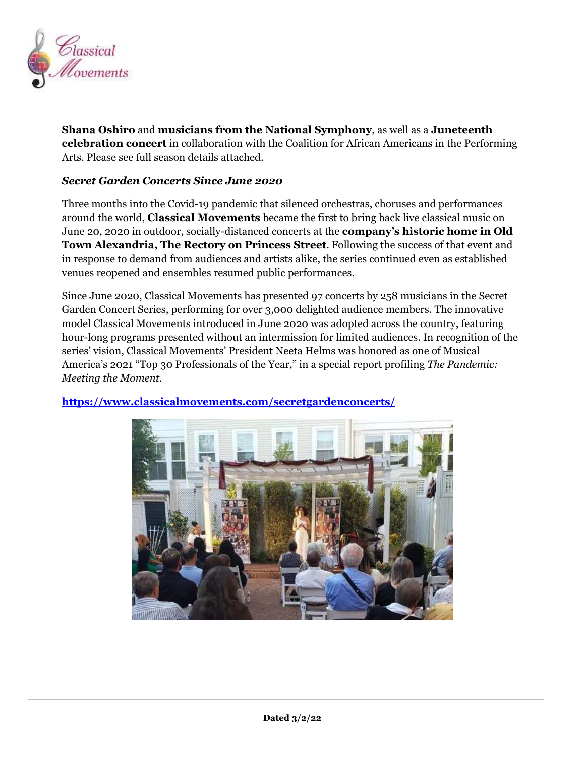

**Shana Oshiro** and **musicians from the National Symphony**, as well as a **Juneteenth celebration concert** in collaboration with the Coalition for African Americans in the Performing Arts. Please see full season details attached.

#### *Secret Garden Concerts Since June 2020*

Three months into the Covid-19 pandemic that silenced orchestras, choruses and performances around the world, **Classical Movements** became the first to bring back live classical music on June 20, 2020 in outdoor, socially-distanced concerts at the **company's historic home in Old Town Alexandria, The Rectory on Princess Street**. Following the success of that event and in response to demand from audiences and artists alike, the series continued even as established venues reopened and ensembles resumed public performances.

Since June 2020, Classical Movements has presented 97 concerts by 258 musicians in the Secret Garden Concert Series, performing for over 3,000 delighted audience members. The innovative model Classical Movements introduced in June 2020 was adopted across the country, featuring hour-long programs presented without an intermission for limited audiences. In recognition of the series' vision, Classical Movements' President Neeta Helms was honored as one of Musical America's 2021 "Top 30 Professionals of the Year," in a special report profiling *The Pandemic: Meeting the Moment.*



#### **<https://www.classicalmovements.com/secretgardenconcerts/>**